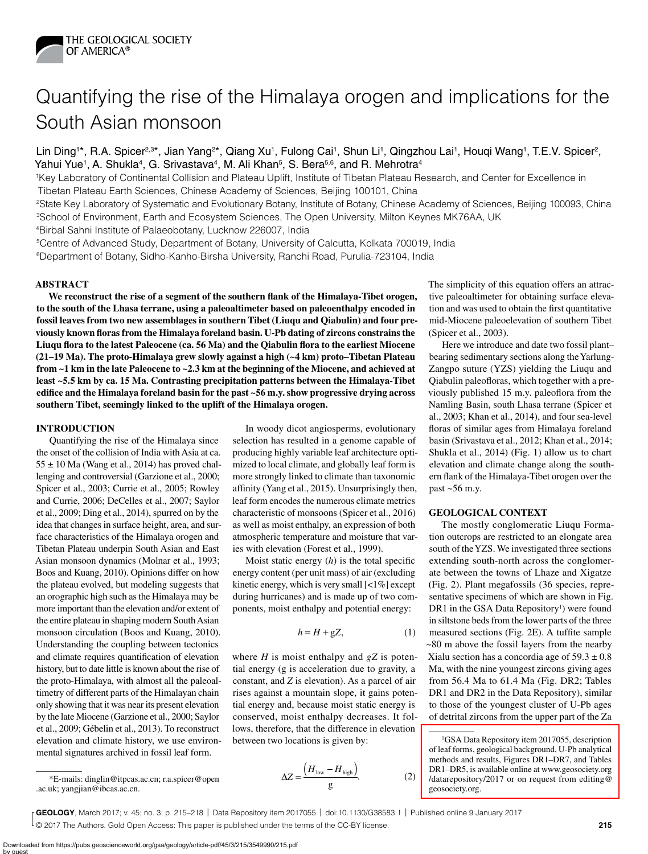

# Quantifying the rise of the Himalaya orogen and implications for the South Asian monsoon

Lin Ding<sup>1\*</sup>, R.A. Spicer<sup>2,3\*</sup>, Jian Yang<sup>2\*</sup>, Qiang Xu<sup>1</sup>, Fulong Cai<sup>1</sup>, Shun Li<sup>1</sup>, Qingzhou Lai<sup>1</sup>, Houqi Wang<sup>1</sup>, T.E.V. Spicer<sup>2</sup>, Yahui Yue<sup>1</sup>, A. Shukla<sup>4</sup>, G. Srivastava<sup>4</sup>, M. Ali Khan<sup>5</sup>, S. Bera<sup>5,6</sup>, and R. Mehrotra<sup>4</sup>

1Key Laboratory of Continental Collision and Plateau Uplift, Institute of Tibetan Plateau Research, and Center for Excellence in Tibetan Plateau Earth Sciences, Chinese Academy of Sciences, Beijing 100101, China

2State Key Laboratory of Systematic and Evolutionary Botany, Institute of Botany, Chinese Academy of Sciences, Beijing 100093, China 3School of Environment, Earth and Ecosystem Sciences, The Open University, Milton Keynes MK76AA, UK

4Birbal Sahni Institute of Palaeobotany, Lucknow 226007, India

5Centre of Advanced Study, Department of Botany, University of Calcutta, Kolkata 700019, India 6Department of Botany, Sidho-Kanho-Birsha University, Ranchi Road, Purulia-723104, India

# **ABSTRACT**

**We reconstruct the rise of a segment of the southern flank of the Himalaya-Tibet orogen, to the south of the Lhasa terrane, using a paleoaltimeter based on paleoenthalpy encoded in fossil leaves from two new assemblages in southern Tibet (Liuqu and Qiabulin) and four previously known floras from the Himalaya foreland basin. U-Pb dating of zircons constrains the Liuqu flora to the latest Paleocene (ca. 56 Ma) and the Qiabulin flora to the earliest Miocene (21–19 Ma). The proto-Himalaya grew slowly against a high (~4 km) proto–Tibetan Plateau from ~1 km in the late Paleocene to ~2.3 km at the beginning of the Miocene, and achieved at least ~5.5 km by ca. 15 Ma. Contrasting precipitation patterns between the Himalaya-Tibet edifice and the Himalaya foreland basin for the past ~56 m.y. show progressive drying across southern Tibet, seemingly linked to the uplift of the Himalaya orogen.**

#### **INTRODUCTION**

Quantifying the rise of the Himalaya since the onset of the collision of India with Asia at ca.  $55 \pm 10$  Ma (Wang et al., 2014) has proved challenging and controversial (Garzione et al., 2000; Spicer et al., 2003; Currie et al., 2005; Rowley and Currie, 2006; DeCelles et al., 2007; Saylor et al., 2009; Ding et al., 2014), spurred on by the idea that changes in surface height, area, and surface characteristics of the Himalaya orogen and Tibetan Plateau underpin South Asian and East Asian monsoon dynamics (Molnar et al., 1993; Boos and Kuang, 2010). Opinions differ on how the plateau evolved, but modeling suggests that an orographic high such as the Himalaya may be more important than the elevation and/or extent of the entire plateau in shaping modern South Asian monsoon circulation (Boos and Kuang, 2010). Understanding the coupling between tectonics and climate requires quantification of elevation history, but to date little is known about the rise of the proto-Himalaya, with almost all the paleoaltimetry of different parts of the Himalayan chain only showing that it was near its present elevation by the late Miocene (Garzione et al., 2000; Saylor et al., 2009; Gébelin et al., 2013). To reconstruct elevation and climate history, we use environmental signatures archived in fossil leaf form.

In woody dicot angiosperms, evolutionary selection has resulted in a genome capable of producing highly variable leaf architecture optimized to local climate, and globally leaf form is more strongly linked to climate than taxonomic affinity (Yang et al., 2015). Unsurprisingly then, leaf form encodes the numerous climate metrics characteristic of monsoons (Spicer et al., 2016) as well as moist enthalpy, an expression of both atmospheric temperature and moisture that varies with elevation (Forest et al., 1999).

Moist static energy (*h*) is the total specific energy content (per unit mass) of air (excluding kinetic energy, which is very small [<1%] except during hurricanes) and is made up of two components, moist enthalpy and potential energy:

$$
h = H + gZ,\tag{1}
$$

where *H* is moist enthalpy and *gZ* is potential energy (g is acceleration due to gravity, a constant, and *Z* is elevation). As a parcel of air rises against a mountain slope, it gains potential energy and, because moist static energy is conserved, moist enthalpy decreases. It follows, therefore, that the difference in elevation between two locations is given by:

$$
\Delta Z = \frac{\left(H_{\text{low}} - H_{\text{high}}\right)}{g}.\tag{2}
$$

The simplicity of this equation offers an attractive paleoaltimeter for obtaining surface elevation and was used to obtain the first quantitative mid-Miocene paleoelevation of southern Tibet (Spicer et al., 2003).

Here we introduce and date two fossil plant– bearing sedimentary sections along the Yarlung-Zangpo suture (YZS) yielding the Liuqu and Qiabulin paleofloras, which together with a previously published 15 m.y. paleoflora from the Namling Basin, south Lhasa terrane (Spicer et al., 2003; Khan et al., 2014), and four sea-level floras of similar ages from Himalaya foreland basin (Srivastava et al., 2012; Khan et al., 2014; Shukla et al., 2014) (Fig. 1) allow us to chart elevation and climate change along the southern flank of the Himalaya-Tibet orogen over the past ~56 m.y.

### **GEOLOGICAL CONTEXT**

The mostly conglomeratic Liuqu Formation outcrops are restricted to an elongate area south of the YZS. We investigated three sections extending south-north across the conglomerate between the towns of Lhaze and Xigatze (Fig. 2). Plant megafossils (36 species, representative specimens of which are shown in Fig. DR1 in the GSA Data Repository<sup>1</sup>) were found in siltstone beds from the lower parts of the three measured sections (Fig. 2E). A tuffite sample ~80 m above the fossil layers from the nearby Xialu section has a concordia age of  $59.3 \pm 0.8$ Ma, with the nine youngest zircons giving ages from 56.4 Ma to 61.4 Ma (Fig. DR2; Tables DR1 and DR2 in the Data Repository), similar to those of the youngest cluster of U-Pb ages of detrital zircons from the upper part of the Za

© 2017 The Authors. Gold Open Access: This paper is published under the terms of the CC-BY license. **Example 2015 GEOLOGY**, March 2017; v. 45; no. 3; p. 215–218 | Data Repository item 2017055 | doi:10.1130/G38583.1 | Published online 9 January 2017

<sup>&</sup>lt;sup>1</sup>GSA Data Repository item 2017055, description of leaf forms, geological background, U-Pb analytical methods and results, Figures DR1–DR7, and Tables DR1–DR5, is available online at www.geosociety.org [/datarepository/2017 or on request from editing@](http://www.geosociety.org/datarepository/2017/) geosociety.org.

<sup>\*</sup>E-mails: dinglin@itpcas.ac.cn; r.a.spicer@open .ac.uk; yangjian@ibcas.ac.cn.

Downloaded from https://pubs.geoscienceworld.org/gsa/geology/article-pdf/45/3/215/3549990/215.pdf by guest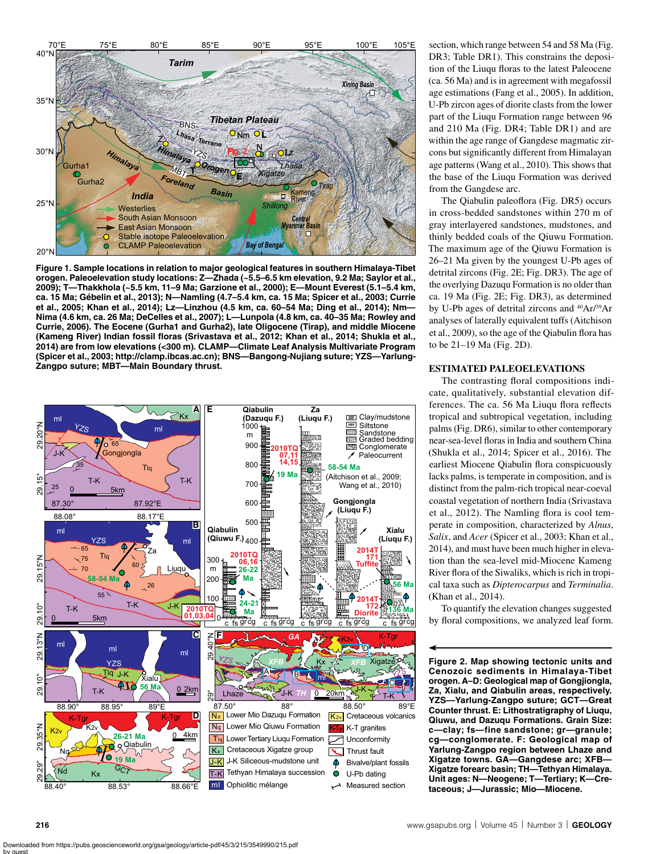

**Figure 1. Sample locations in relation to major geological features in southern Himalaya-Tibet orogen. Paleoelevation study locations: Z—Zhada (~5.5–6.5 km elevation, 9.2 Ma; Saylor et al., 2009); T—Thakkhola (~5.5 km, 11–9 Ma; Garzione et al., 2000); E—Mount Everest (5.1–5.4 km, ca. 15 Ma; Gébelin et al., 2013); N—Namling (4.7–5.4 km, ca. 15 Ma; Spicer et al., 2003; Currie et al., 2005; Khan et al., 2014); Lz—Linzhou (4.5 km, ca. 60–54 Ma; Ding et al., 2014); Nm— Nima (4.6 km, ca. 26 Ma; DeCelles et al., 2007); L—Lunpola (4.8 km, ca. 40–35 Ma; Rowley and Currie, 2006). The Eocene (Gurha1 and Gurha2), late Oligocene (Tirap), and middle Miocene (Kameng River) Indian fossil floras (Srivastava et al., 2012; Khan et al., 2014; Shukla et al., 2014) are from low elevations (<300 m). CLAMP—Climate Leaf Analysis Multivariate Program (Spicer et al., 2003; http://clamp.ibcas.ac.cn); BNS—Bangong-Nujiang suture; YZS—Yarlung-Zangpo suture; MBT—Main Boundary thrust.**



section, which range between 54 and 58 Ma (Fig. DR3; Table DR1). This constrains the deposition of the Liuqu floras to the latest Paleocene (ca. 56 Ma) and is in agreement with megafossil age estimations (Fang et al., 2005). In addition, U-Pb zircon ages of diorite clasts from the lower part of the Liuqu Formation range between 96 and 210 Ma (Fig. DR4; Table DR1) and are within the age range of Gangdese magmatic zircons but significantly different from Himalayan age patterns (Wang et al., 2010). This shows that the base of the Liuqu Formation was derived from the Gangdese arc.

The Qiabulin paleoflora (Fig. DR5) occurs in cross-bedded sandstones within 270 m of gray interlayered sandstones, mudstones, and thinly bedded coals of the Qiuwu Formation. The maximum age of the Qiuwu Formation is 26–21 Ma given by the youngest U-Pb ages of detrital zircons (Fig. 2E; Fig. DR3). The age of the overlying Dazuqu Formation is no older than ca. 19 Ma (Fig. 2E; Fig. DR3), as determined by U-Pb ages of detrital zircons and 40Ar/39Ar analyses of laterally equivalent tuffs (Aitchison et al., 2009), so the age of the Qiabulin flora has to be 21–19 Ma (Fig. 2D).

## **ESTIMATED PALEOELEVATIONS**

The contrasting floral compositions indicate, qualitatively, substantial elevation differences. The ca. 56 Ma Liuqu flora reflects tropical and subtropical vegetation, including palms (Fig. DR6), similar to other contemporary near-sea-level floras in India and southern China (Shukla et al., 2014; Spicer et al., 2016). The earliest Miocene Qiabulin flora conspicuously lacks palms, is temperate in composition, and is distinct from the palm-rich tropical near-coeval coastal vegetation of northern India (Srivastava et al., 2012). The Namling flora is cool temperate in composition, characterized by *Alnus*, *Salix*, and *Acer* (Spicer et al., 2003; Khan et al., 2014), and must have been much higher in elevation than the sea-level mid-Miocene Kameng River flora of the Siwaliks, which is rich in tropical taxa such as *Dipterocarpus* and *Terminalia*. (Khan et al., 2014).

To quantify the elevation changes suggested by floral compositions, we analyzed leaf form.

**Figure 2. Map showing tectonic units and Cenozoic sediments in Himalaya-Tibet orogen. A–D: Geological map of Gongjiongla, Za, Xialu, and Qiabulin areas, respectively. YZS—Yarlung-Zangpo suture; GCT—Great Counter thrust. E: Lithostratigraphy of Liuqu, Qiuwu, and Dazuqu Formations. Grain Size: c—clay; fs—fine sandstone; gr—granule; cg—conglomerate. F: Geological map of Yarlung-Zangpo region between Lhaze and Xigatze towns. GA—Gangdese arc; XFB— Xigatze forearc basin; TH—Tethyan Himalaya. Unit ages: N—Neogene; T—Tertiary; K—Cretaceous; J—Jurassic; Mio—Miocene.**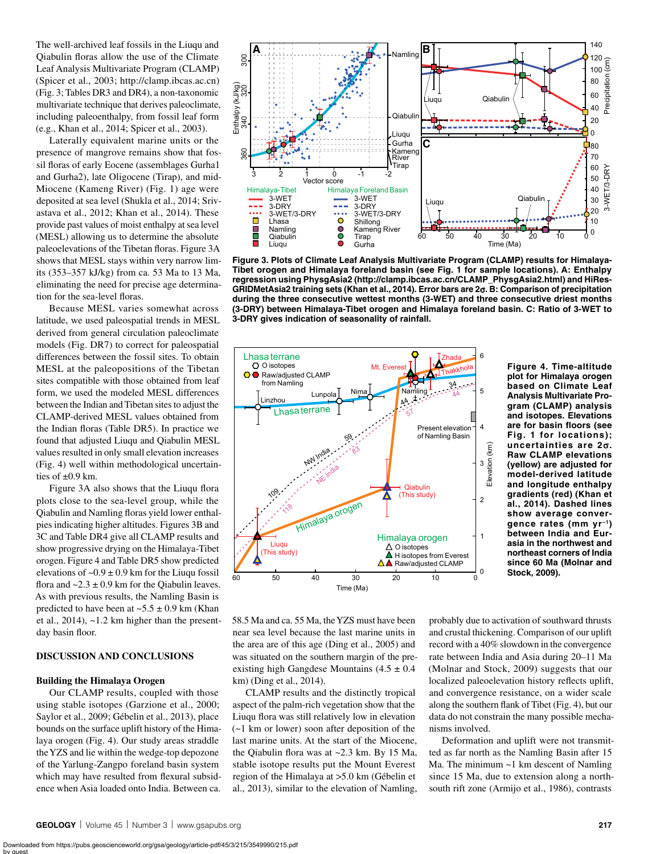The well-archived leaf fossils in the Liuqu and Qiabulin floras allow the use of the Climate Leaf Analysis Multivariate Program (CLAMP) (Spicer et al., 2003; http://clamp.ibcas.ac.cn) (Fig. 3; Tables DR3 and DR4), a non-taxonomic multivariate technique that derives paleoclimate, including paleoenthalpy, from fossil leaf form (e.g., Khan et al., 2014; Spicer et al., 2003).

Laterally equivalent marine units or the presence of mangrove remains show that fossil floras of early Eocene (assemblages Gurha1 and Gurha2), late Oligocene (Tirap), and mid-Miocene (Kameng River) (Fig. 1) age were deposited at sea level (Shukla et al., 2014; Srivastava et al., 2012; Khan et al., 2014). These provide past values of moist enthalpy at sea level (MESL) allowing us to determine the absolute paleoelevations of the Tibetan floras. Figure 3A shows that MESL stays within very narrow limits (353–357 kJ/kg) from ca. 53 Ma to 13 Ma, eliminating the need for precise age determination for the sea-level floras.

Because MESL varies somewhat across latitude, we used paleospatial trends in MESL derived from general circulation paleoclimate models (Fig. DR7) to correct for paleospatial differences between the fossil sites. To obtain MESL at the paleopositions of the Tibetan sites compatible with those obtained from leaf form, we used the modeled MESL differences between the Indian and Tibetan sites to adjust the CLAMP-derived MESL values obtained from the Indian floras (Table DR5). In practice we found that adjusted Liuqu and Qiabulin MESL values resulted in only small elevation increases (Fig. 4) well within methodological uncertainties of ±0.9 km.

Figure 3A also shows that the Liuqu flora plots close to the sea-level group, while the Qiabulin and Namling floras yield lower enthalpies indicating higher altitudes. Figures 3B and 3C and Table DR4 give all CLAMP results and show progressive drying on the Himalaya-Tibet orogen. Figure 4 and Table DR5 show predicted elevations of  $\sim 0.9 \pm 0.9$  km for the Liuqu fossil flora and  $\sim$  2.3  $\pm$  0.9 km for the Qiabulin leaves. As with previous results, the Namling Basin is predicted to have been at  $\sim$  5.5  $\pm$  0.9 km (Khan et al.,  $2014$ ),  $\sim$ 1.2 km higher than the presentday basin floor.

# **DISCUSSION AND CONCLUSIONS**

## **Building the Himalaya Orogen**

Our CLAMP results, coupled with those using stable isotopes (Garzione et al., 2000; Saylor et al., 2009; Gébelin et al., 2013), place bounds on the surface uplift history of the Himalaya orogen (Fig. 4). Our study areas straddle the YZS and lie within the wedge-top depozone of the Yarlung-Zangpo foreland basin system which may have resulted from flexural subsidence when Asia loaded onto India. Between ca.



**Figure 3. Plots of Climate Leaf Analysis Multivariate Program (CLAMP) results for Himalaya-Tibet orogen and Himalaya foreland basin (see Fig. 1 for sample locations). A: Enthalpy regression using PhysgAsia2 (http://clamp.ibcas.ac.cn/CLAMP\_PhysgAsia2.html) and HiRes-GRIDMetAsia2 training sets (Khan et al., 2014). Error bars are 2**s**. B: Comparison of precipitation during the three consecutive wettest months (3-WET) and three consecutive driest months (3-DRY) between Himalaya-Tibet orogen and Himalaya foreland basin. C: Ratio of 3-WET to 3-DRY gives indication of seasonality of rainfall.**



**Figure 4. Time-altitude plot for Himalaya orogen based on Climate Leaf Analysis Multivariate Program (CLAMP) analysis and isotopes. Elevations are for basin floors (see Fig. 1 for locations); uncertainties are 2**s**. Raw CLAMP elevations (yellow) are adjusted for model-derived latitude and longitude enthalpy gradients (red) (Khan et al., 2014). Dashed lines show average convergence rates (mm yr–1) between India and Eurasia in the northwest and northeast corners of India since 60 Ma (Molnar and Stock, 2009).**

58.5 Ma and ca. 55 Ma, the YZS must have been near sea level because the last marine units in the area are of this age (Ding et al., 2005) and was situated on the southern margin of the preexisting high Gangdese Mountains  $(4.5 \pm 0.4)$ km) (Ding et al., 2014).

CLAMP results and the distinctly tropical aspect of the palm-rich vegetation show that the Liuqu flora was still relatively low in elevation (~1 km or lower) soon after deposition of the last marine units. At the start of the Miocene, the Qiabulin flora was at ~2.3 km. By 15 Ma, stable isotope results put the Mount Everest region of the Himalaya at >5.0 km (Gébelin et al., 2013), similar to the elevation of Namling,

probably due to activation of southward thrusts and crustal thickening. Comparison of our uplift record with a 40% slowdown in the convergence rate between India and Asia during 20–11 Ma (Molnar and Stock, 2009) suggests that our localized paleoelevation history reflects uplift, and convergence resistance, on a wider scale along the southern flank of Tibet (Fig. 4), but our data do not constrain the many possible mechanisms involved.

Deformation and uplift were not transmitted as far north as the Namling Basin after 15 Ma. The minimum ~1 km descent of Namling since 15 Ma, due to extension along a northsouth rift zone (Armijo et al., 1986), contrasts

Downloaded from https://pubs.geoscienceworld.org/gsa/geology/article-pdf/45/3/215/3549990/215.pdf by guest